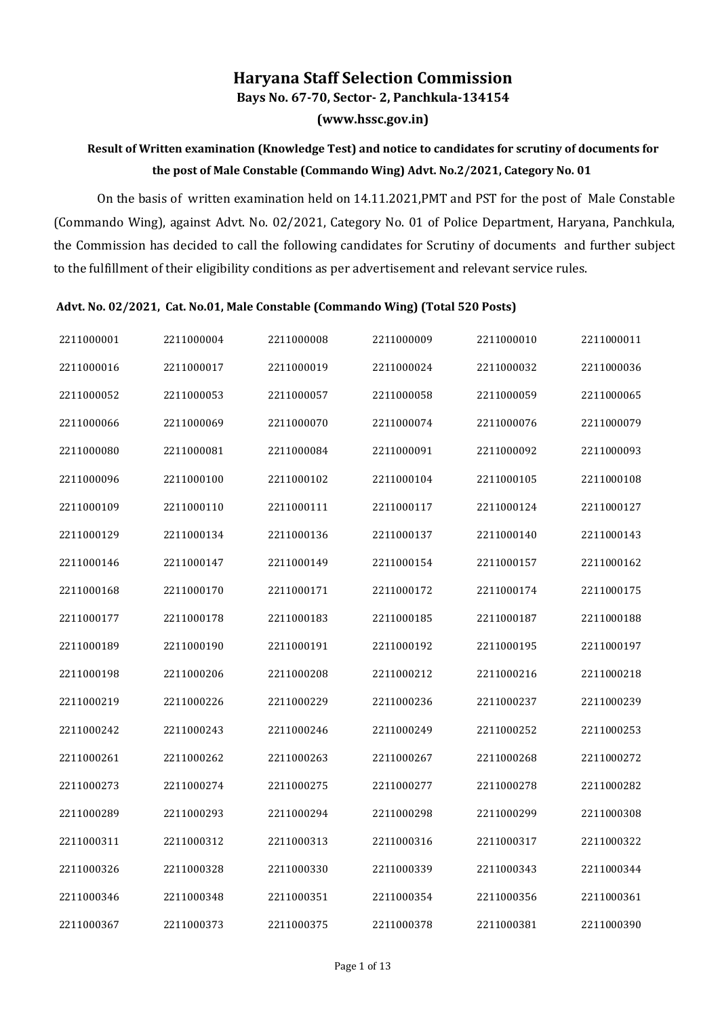# **Haryana Staff Selection Commission Bays No. 67-70, Sector- 2, Panchkula-134154**

**(www.hssc.gov.in)**

# **Result of Written examination (Knowledge Test) and notice to candidates for scrutiny of documents for the post of Male Constable (Commando Wing) Advt. No.2/2021, Category No. 01**

On the basis of written examination held on 14.11.2021,PMT and PST for the post of Male Constable (Commando Wing), against Advt. No. 02/2021, Category No. 01 of Police Department, Haryana, Panchkula, the Commission has decided to call the following candidates for Scrutiny of documents and further subject to the fulfillment of their eligibility conditions as per advertisement and relevant service rules.

# **Advt. No. 02/2021, Cat. No.01, Male Constable (Commando Wing) (Total 520 Posts)**

| 2211000001 | 2211000004 | 2211000008 | 2211000009 | 2211000010 | 2211000011 |
|------------|------------|------------|------------|------------|------------|
| 2211000016 | 2211000017 | 2211000019 | 2211000024 | 2211000032 | 2211000036 |
| 2211000052 | 2211000053 | 2211000057 | 2211000058 | 2211000059 | 2211000065 |
| 2211000066 | 2211000069 | 2211000070 | 2211000074 | 2211000076 | 2211000079 |
| 2211000080 | 2211000081 | 2211000084 | 2211000091 | 2211000092 | 2211000093 |
| 2211000096 | 2211000100 | 2211000102 | 2211000104 | 2211000105 | 2211000108 |
| 2211000109 | 2211000110 | 2211000111 | 2211000117 | 2211000124 | 2211000127 |
| 2211000129 | 2211000134 | 2211000136 | 2211000137 | 2211000140 | 2211000143 |
| 2211000146 | 2211000147 | 2211000149 | 2211000154 | 2211000157 | 2211000162 |
| 2211000168 | 2211000170 | 2211000171 | 2211000172 | 2211000174 | 2211000175 |
| 2211000177 | 2211000178 | 2211000183 | 2211000185 | 2211000187 | 2211000188 |
| 2211000189 | 2211000190 | 2211000191 | 2211000192 | 2211000195 | 2211000197 |
| 2211000198 | 2211000206 | 2211000208 | 2211000212 | 2211000216 | 2211000218 |
| 2211000219 | 2211000226 | 2211000229 | 2211000236 | 2211000237 | 2211000239 |
| 2211000242 | 2211000243 | 2211000246 | 2211000249 | 2211000252 | 2211000253 |
| 2211000261 | 2211000262 | 2211000263 | 2211000267 | 2211000268 | 2211000272 |
| 2211000273 | 2211000274 | 2211000275 | 2211000277 | 2211000278 | 2211000282 |
| 2211000289 | 2211000293 | 2211000294 | 2211000298 | 2211000299 | 2211000308 |
| 2211000311 | 2211000312 | 2211000313 | 2211000316 | 2211000317 | 2211000322 |
| 2211000326 | 2211000328 | 2211000330 | 2211000339 | 2211000343 | 2211000344 |
| 2211000346 | 2211000348 | 2211000351 | 2211000354 | 2211000356 | 2211000361 |
| 2211000367 | 2211000373 | 2211000375 | 2211000378 | 2211000381 | 2211000390 |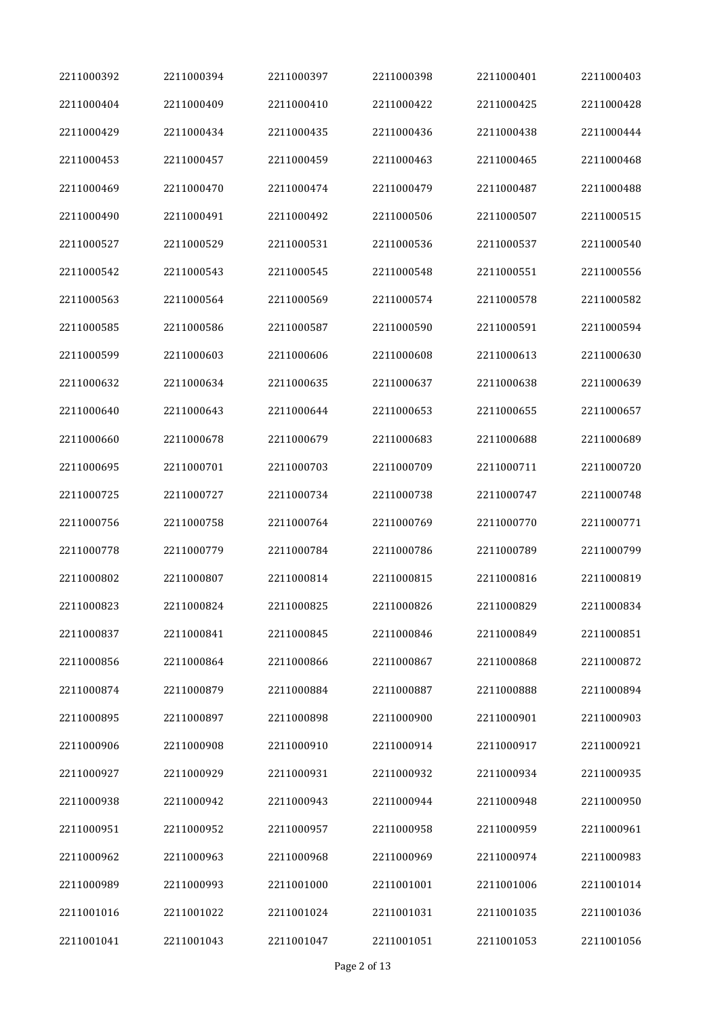| 2211000392 | 2211000394 | 2211000397 | 2211000398 | 2211000401 | 2211000403 |
|------------|------------|------------|------------|------------|------------|
| 2211000404 | 2211000409 | 2211000410 | 2211000422 | 2211000425 | 2211000428 |
| 2211000429 | 2211000434 | 2211000435 | 2211000436 | 2211000438 | 2211000444 |
| 2211000453 | 2211000457 | 2211000459 | 2211000463 | 2211000465 | 2211000468 |
| 2211000469 | 2211000470 | 2211000474 | 2211000479 | 2211000487 | 2211000488 |
| 2211000490 | 2211000491 | 2211000492 | 2211000506 | 2211000507 | 2211000515 |
| 2211000527 | 2211000529 | 2211000531 | 2211000536 | 2211000537 | 2211000540 |
| 2211000542 | 2211000543 | 2211000545 | 2211000548 | 2211000551 | 2211000556 |
| 2211000563 | 2211000564 | 2211000569 | 2211000574 | 2211000578 | 2211000582 |
| 2211000585 | 2211000586 | 2211000587 | 2211000590 | 2211000591 | 2211000594 |
| 2211000599 | 2211000603 | 2211000606 | 2211000608 | 2211000613 | 2211000630 |
| 2211000632 | 2211000634 | 2211000635 | 2211000637 | 2211000638 | 2211000639 |
| 2211000640 | 2211000643 | 2211000644 | 2211000653 | 2211000655 | 2211000657 |
| 2211000660 | 2211000678 | 2211000679 | 2211000683 | 2211000688 | 2211000689 |
| 2211000695 | 2211000701 | 2211000703 | 2211000709 | 2211000711 | 2211000720 |
| 2211000725 | 2211000727 | 2211000734 | 2211000738 | 2211000747 | 2211000748 |
| 2211000756 | 2211000758 | 2211000764 | 2211000769 | 2211000770 | 2211000771 |
| 2211000778 | 2211000779 | 2211000784 | 2211000786 | 2211000789 | 2211000799 |
| 2211000802 | 2211000807 | 2211000814 | 2211000815 | 2211000816 | 2211000819 |
| 2211000823 | 2211000824 | 2211000825 | 2211000826 | 2211000829 | 2211000834 |
| 2211000837 | 2211000841 | 2211000845 | 2211000846 | 2211000849 | 2211000851 |
| 2211000856 | 2211000864 | 2211000866 | 2211000867 | 2211000868 | 2211000872 |
| 2211000874 | 2211000879 | 2211000884 | 2211000887 | 2211000888 | 2211000894 |
| 2211000895 | 2211000897 | 2211000898 | 2211000900 | 2211000901 | 2211000903 |
| 2211000906 | 2211000908 | 2211000910 | 2211000914 | 2211000917 | 2211000921 |
| 2211000927 | 2211000929 | 2211000931 | 2211000932 | 2211000934 | 2211000935 |
| 2211000938 | 2211000942 | 2211000943 | 2211000944 | 2211000948 | 2211000950 |
| 2211000951 | 2211000952 | 2211000957 | 2211000958 | 2211000959 | 2211000961 |
| 2211000962 | 2211000963 | 2211000968 | 2211000969 | 2211000974 | 2211000983 |
| 2211000989 | 2211000993 | 2211001000 | 2211001001 | 2211001006 | 2211001014 |
| 2211001016 | 2211001022 | 2211001024 | 2211001031 | 2211001035 | 2211001036 |
| 2211001041 | 2211001043 | 2211001047 | 2211001051 | 2211001053 | 2211001056 |
|            |            |            |            |            |            |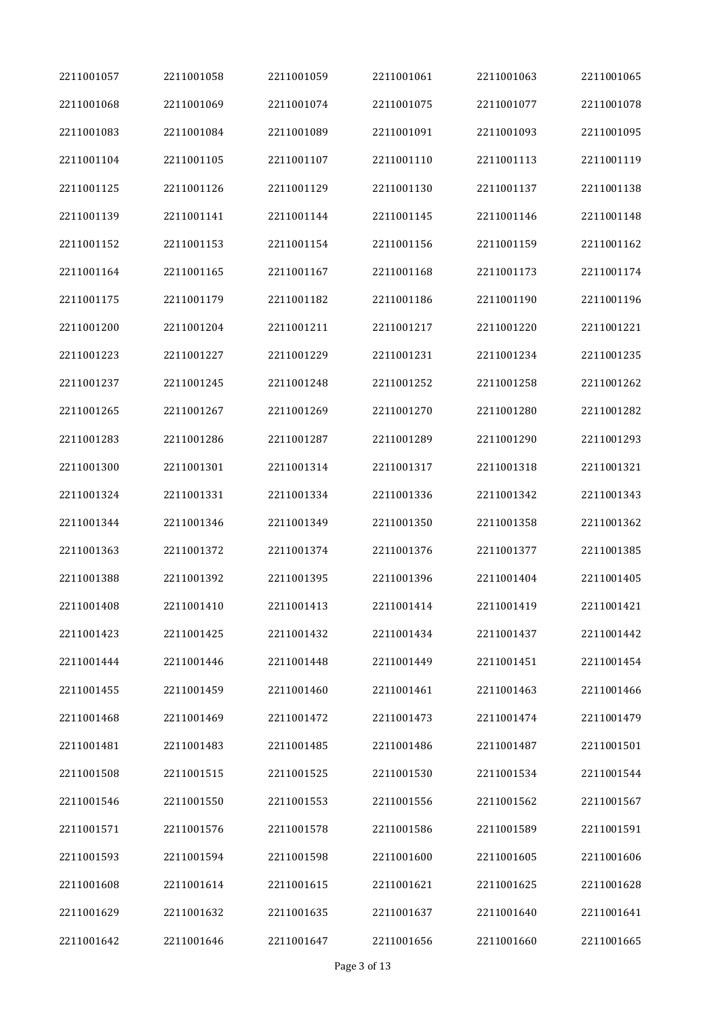| 2211001057 | 2211001058 | 2211001059 | 2211001061 | 2211001063 | 2211001065 |
|------------|------------|------------|------------|------------|------------|
| 2211001068 | 2211001069 | 2211001074 | 2211001075 | 2211001077 | 2211001078 |
| 2211001083 | 2211001084 | 2211001089 | 2211001091 | 2211001093 | 2211001095 |
| 2211001104 | 2211001105 | 2211001107 | 2211001110 | 2211001113 | 2211001119 |
| 2211001125 | 2211001126 | 2211001129 | 2211001130 | 2211001137 | 2211001138 |
| 2211001139 | 2211001141 | 2211001144 | 2211001145 | 2211001146 | 2211001148 |
| 2211001152 | 2211001153 | 2211001154 | 2211001156 | 2211001159 | 2211001162 |
| 2211001164 | 2211001165 | 2211001167 | 2211001168 | 2211001173 | 2211001174 |
| 2211001175 | 2211001179 | 2211001182 | 2211001186 | 2211001190 | 2211001196 |
| 2211001200 | 2211001204 | 2211001211 | 2211001217 | 2211001220 | 2211001221 |
| 2211001223 | 2211001227 | 2211001229 | 2211001231 | 2211001234 | 2211001235 |
| 2211001237 | 2211001245 | 2211001248 | 2211001252 | 2211001258 | 2211001262 |
| 2211001265 | 2211001267 | 2211001269 | 2211001270 | 2211001280 | 2211001282 |
| 2211001283 | 2211001286 | 2211001287 | 2211001289 | 2211001290 | 2211001293 |
| 2211001300 | 2211001301 | 2211001314 | 2211001317 | 2211001318 | 2211001321 |
| 2211001324 | 2211001331 | 2211001334 | 2211001336 | 2211001342 | 2211001343 |
| 2211001344 | 2211001346 | 2211001349 | 2211001350 | 2211001358 | 2211001362 |
| 2211001363 | 2211001372 | 2211001374 | 2211001376 | 2211001377 | 2211001385 |
| 2211001388 | 2211001392 | 2211001395 | 2211001396 | 2211001404 | 2211001405 |
| 2211001408 | 2211001410 | 2211001413 | 2211001414 | 2211001419 | 2211001421 |
| 2211001423 | 2211001425 | 2211001432 | 2211001434 | 2211001437 | 2211001442 |
| 2211001444 | 2211001446 | 2211001448 | 2211001449 | 2211001451 | 2211001454 |
| 2211001455 | 2211001459 | 2211001460 | 2211001461 | 2211001463 | 2211001466 |
| 2211001468 | 2211001469 | 2211001472 | 2211001473 | 2211001474 | 2211001479 |
| 2211001481 | 2211001483 | 2211001485 | 2211001486 | 2211001487 | 2211001501 |
| 2211001508 | 2211001515 | 2211001525 | 2211001530 | 2211001534 | 2211001544 |
| 2211001546 | 2211001550 | 2211001553 | 2211001556 | 2211001562 | 2211001567 |
| 2211001571 | 2211001576 | 2211001578 | 2211001586 | 2211001589 | 2211001591 |
| 2211001593 | 2211001594 | 2211001598 | 2211001600 | 2211001605 | 2211001606 |
| 2211001608 | 2211001614 | 2211001615 | 2211001621 | 2211001625 | 2211001628 |
| 2211001629 | 2211001632 | 2211001635 | 2211001637 | 2211001640 | 2211001641 |
| 2211001642 | 2211001646 | 2211001647 | 2211001656 | 2211001660 | 2211001665 |
|            |            |            |            |            |            |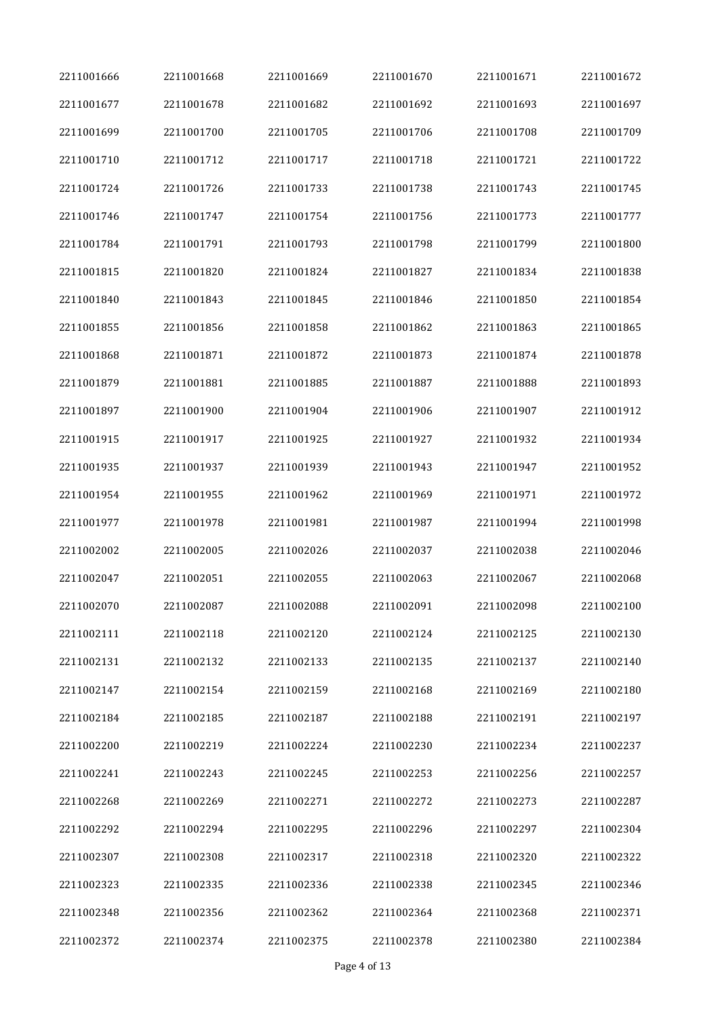| 2211001666 | 2211001668 | 2211001669 | 2211001670 | 2211001671 | 2211001672 |
|------------|------------|------------|------------|------------|------------|
| 2211001677 | 2211001678 | 2211001682 | 2211001692 | 2211001693 | 2211001697 |
| 2211001699 | 2211001700 | 2211001705 | 2211001706 | 2211001708 | 2211001709 |
| 2211001710 | 2211001712 | 2211001717 | 2211001718 | 2211001721 | 2211001722 |
| 2211001724 | 2211001726 | 2211001733 | 2211001738 | 2211001743 | 2211001745 |
| 2211001746 | 2211001747 | 2211001754 | 2211001756 | 2211001773 | 2211001777 |
| 2211001784 | 2211001791 | 2211001793 | 2211001798 | 2211001799 | 2211001800 |
| 2211001815 | 2211001820 | 2211001824 | 2211001827 | 2211001834 | 2211001838 |
| 2211001840 | 2211001843 | 2211001845 | 2211001846 | 2211001850 | 2211001854 |
| 2211001855 | 2211001856 | 2211001858 | 2211001862 | 2211001863 | 2211001865 |
| 2211001868 | 2211001871 | 2211001872 | 2211001873 | 2211001874 | 2211001878 |
| 2211001879 | 2211001881 | 2211001885 | 2211001887 | 2211001888 | 2211001893 |
| 2211001897 | 2211001900 | 2211001904 | 2211001906 | 2211001907 | 2211001912 |
| 2211001915 | 2211001917 | 2211001925 | 2211001927 | 2211001932 | 2211001934 |
| 2211001935 | 2211001937 | 2211001939 | 2211001943 | 2211001947 | 2211001952 |
| 2211001954 | 2211001955 | 2211001962 | 2211001969 | 2211001971 | 2211001972 |
| 2211001977 | 2211001978 | 2211001981 | 2211001987 | 2211001994 | 2211001998 |
| 2211002002 | 2211002005 | 2211002026 | 2211002037 | 2211002038 | 2211002046 |
| 2211002047 | 2211002051 | 2211002055 | 2211002063 | 2211002067 | 2211002068 |
| 2211002070 | 2211002087 | 2211002088 | 2211002091 | 2211002098 | 2211002100 |
| 2211002111 | 2211002118 | 2211002120 | 2211002124 | 2211002125 | 2211002130 |
| 2211002131 | 2211002132 | 2211002133 | 2211002135 | 2211002137 | 2211002140 |
| 2211002147 | 2211002154 | 2211002159 | 2211002168 | 2211002169 | 2211002180 |
| 2211002184 | 2211002185 | 2211002187 | 2211002188 | 2211002191 | 2211002197 |
| 2211002200 | 2211002219 | 2211002224 | 2211002230 | 2211002234 | 2211002237 |
| 2211002241 | 2211002243 | 2211002245 | 2211002253 | 2211002256 | 2211002257 |
| 2211002268 | 2211002269 | 2211002271 | 2211002272 | 2211002273 | 2211002287 |
| 2211002292 | 2211002294 | 2211002295 | 2211002296 | 2211002297 | 2211002304 |
| 2211002307 | 2211002308 | 2211002317 | 2211002318 | 2211002320 | 2211002322 |
| 2211002323 | 2211002335 | 2211002336 | 2211002338 | 2211002345 | 2211002346 |
| 2211002348 | 2211002356 | 2211002362 | 2211002364 | 2211002368 | 2211002371 |
| 2211002372 | 2211002374 | 2211002375 | 2211002378 | 2211002380 | 2211002384 |
|            |            |            |            |            |            |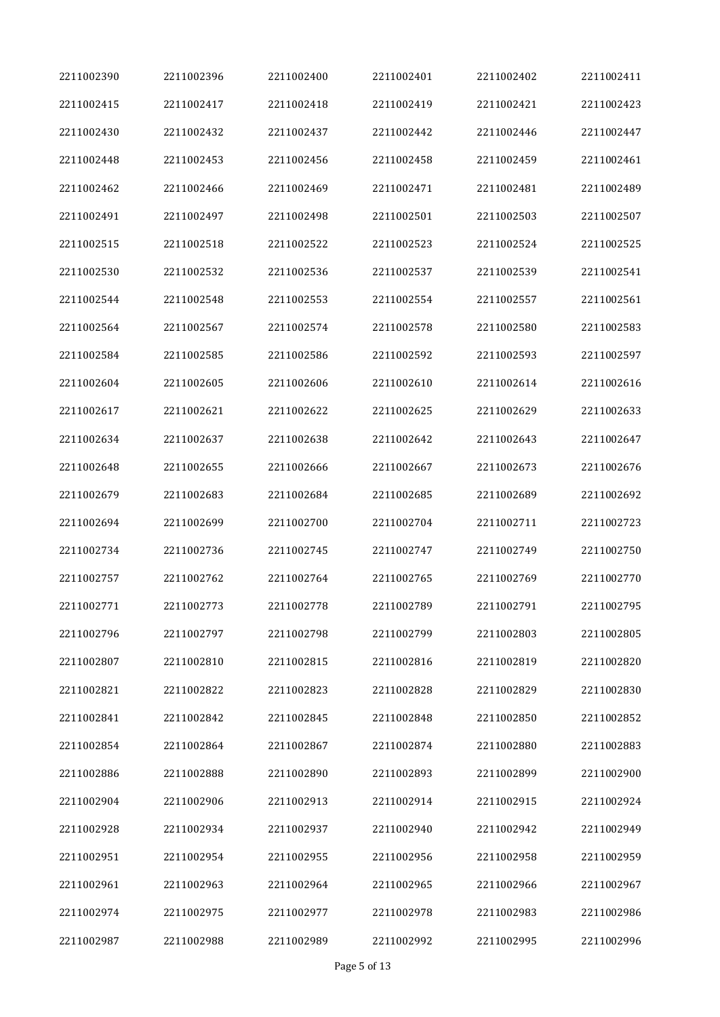| 2211002390 | 2211002396 | 2211002400 | 2211002401 | 2211002402 | 2211002411 |
|------------|------------|------------|------------|------------|------------|
| 2211002415 | 2211002417 | 2211002418 | 2211002419 | 2211002421 | 2211002423 |
| 2211002430 | 2211002432 | 2211002437 | 2211002442 | 2211002446 | 2211002447 |
| 2211002448 | 2211002453 | 2211002456 | 2211002458 | 2211002459 | 2211002461 |
| 2211002462 | 2211002466 | 2211002469 | 2211002471 | 2211002481 | 2211002489 |
| 2211002491 | 2211002497 | 2211002498 | 2211002501 | 2211002503 | 2211002507 |
| 2211002515 | 2211002518 | 2211002522 | 2211002523 | 2211002524 | 2211002525 |
| 2211002530 | 2211002532 | 2211002536 | 2211002537 | 2211002539 | 2211002541 |
| 2211002544 | 2211002548 | 2211002553 | 2211002554 | 2211002557 | 2211002561 |
| 2211002564 | 2211002567 | 2211002574 | 2211002578 | 2211002580 | 2211002583 |
| 2211002584 | 2211002585 | 2211002586 | 2211002592 | 2211002593 | 2211002597 |
| 2211002604 | 2211002605 | 2211002606 | 2211002610 | 2211002614 | 2211002616 |
| 2211002617 | 2211002621 | 2211002622 | 2211002625 | 2211002629 | 2211002633 |
| 2211002634 | 2211002637 | 2211002638 | 2211002642 | 2211002643 | 2211002647 |
| 2211002648 | 2211002655 | 2211002666 | 2211002667 | 2211002673 | 2211002676 |
| 2211002679 | 2211002683 | 2211002684 | 2211002685 | 2211002689 | 2211002692 |
| 2211002694 | 2211002699 | 2211002700 | 2211002704 | 2211002711 | 2211002723 |
| 2211002734 | 2211002736 | 2211002745 | 2211002747 | 2211002749 | 2211002750 |
| 2211002757 | 2211002762 | 2211002764 | 2211002765 | 2211002769 | 2211002770 |
| 2211002771 | 2211002773 | 2211002778 | 2211002789 | 2211002791 | 2211002795 |
| 2211002796 | 2211002797 | 2211002798 | 2211002799 | 2211002803 | 2211002805 |
| 2211002807 | 2211002810 | 2211002815 | 2211002816 | 2211002819 | 2211002820 |
| 2211002821 | 2211002822 | 2211002823 | 2211002828 | 2211002829 | 2211002830 |
| 2211002841 | 2211002842 | 2211002845 | 2211002848 | 2211002850 | 2211002852 |
| 2211002854 | 2211002864 | 2211002867 | 2211002874 | 2211002880 | 2211002883 |
| 2211002886 | 2211002888 | 2211002890 | 2211002893 | 2211002899 | 2211002900 |
| 2211002904 | 2211002906 | 2211002913 | 2211002914 | 2211002915 | 2211002924 |
| 2211002928 | 2211002934 | 2211002937 | 2211002940 | 2211002942 | 2211002949 |
| 2211002951 | 2211002954 | 2211002955 | 2211002956 | 2211002958 | 2211002959 |
| 2211002961 | 2211002963 | 2211002964 | 2211002965 | 2211002966 | 2211002967 |
| 2211002974 | 2211002975 | 2211002977 | 2211002978 | 2211002983 | 2211002986 |
| 2211002987 | 2211002988 | 2211002989 | 2211002992 | 2211002995 | 2211002996 |
|            |            |            |            |            |            |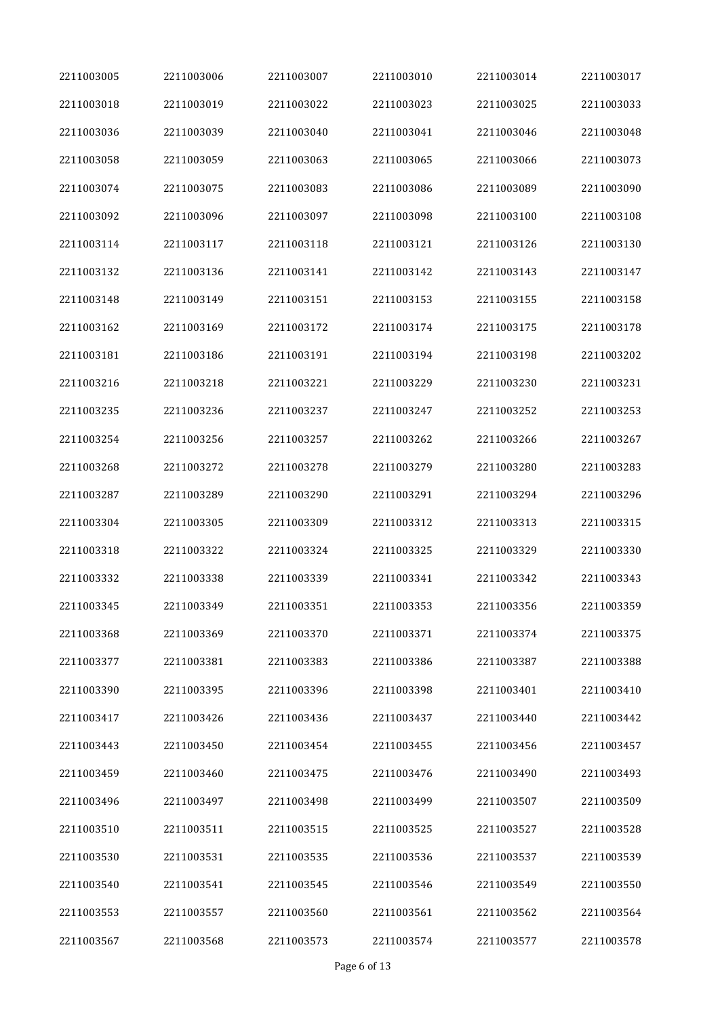| 2211003005 | 2211003006 | 2211003007 | 2211003010 | 2211003014 | 2211003017 |
|------------|------------|------------|------------|------------|------------|
| 2211003018 | 2211003019 | 2211003022 | 2211003023 | 2211003025 | 2211003033 |
| 2211003036 | 2211003039 | 2211003040 | 2211003041 | 2211003046 | 2211003048 |
| 2211003058 | 2211003059 | 2211003063 | 2211003065 | 2211003066 | 2211003073 |
| 2211003074 | 2211003075 | 2211003083 | 2211003086 | 2211003089 | 2211003090 |
| 2211003092 | 2211003096 | 2211003097 | 2211003098 | 2211003100 | 2211003108 |
| 2211003114 | 2211003117 | 2211003118 | 2211003121 | 2211003126 | 2211003130 |
| 2211003132 | 2211003136 | 2211003141 | 2211003142 | 2211003143 | 2211003147 |
| 2211003148 | 2211003149 | 2211003151 | 2211003153 | 2211003155 | 2211003158 |
| 2211003162 | 2211003169 | 2211003172 | 2211003174 | 2211003175 | 2211003178 |
| 2211003181 | 2211003186 | 2211003191 | 2211003194 | 2211003198 | 2211003202 |
| 2211003216 | 2211003218 | 2211003221 | 2211003229 | 2211003230 | 2211003231 |
| 2211003235 | 2211003236 | 2211003237 | 2211003247 | 2211003252 | 2211003253 |
| 2211003254 | 2211003256 | 2211003257 | 2211003262 | 2211003266 | 2211003267 |
| 2211003268 | 2211003272 | 2211003278 | 2211003279 | 2211003280 | 2211003283 |
| 2211003287 | 2211003289 | 2211003290 | 2211003291 | 2211003294 | 2211003296 |
| 2211003304 | 2211003305 | 2211003309 | 2211003312 | 2211003313 | 2211003315 |
| 2211003318 | 2211003322 | 2211003324 | 2211003325 | 2211003329 | 2211003330 |
| 2211003332 | 2211003338 | 2211003339 | 2211003341 | 2211003342 | 2211003343 |
| 2211003345 | 2211003349 | 2211003351 | 2211003353 | 2211003356 | 2211003359 |
| 2211003368 | 2211003369 | 2211003370 | 2211003371 | 2211003374 | 2211003375 |
| 2211003377 | 2211003381 | 2211003383 | 2211003386 | 2211003387 | 2211003388 |
| 2211003390 | 2211003395 | 2211003396 | 2211003398 | 2211003401 | 2211003410 |
| 2211003417 | 2211003426 | 2211003436 | 2211003437 | 2211003440 | 2211003442 |
| 2211003443 | 2211003450 | 2211003454 | 2211003455 | 2211003456 | 2211003457 |
| 2211003459 | 2211003460 | 2211003475 | 2211003476 | 2211003490 | 2211003493 |
| 2211003496 | 2211003497 | 2211003498 | 2211003499 | 2211003507 | 2211003509 |
| 2211003510 | 2211003511 | 2211003515 | 2211003525 | 2211003527 | 2211003528 |
| 2211003530 | 2211003531 | 2211003535 | 2211003536 | 2211003537 | 2211003539 |
| 2211003540 | 2211003541 | 2211003545 | 2211003546 | 2211003549 | 2211003550 |
| 2211003553 | 2211003557 | 2211003560 | 2211003561 | 2211003562 | 2211003564 |
| 2211003567 | 2211003568 | 2211003573 | 2211003574 | 2211003577 | 2211003578 |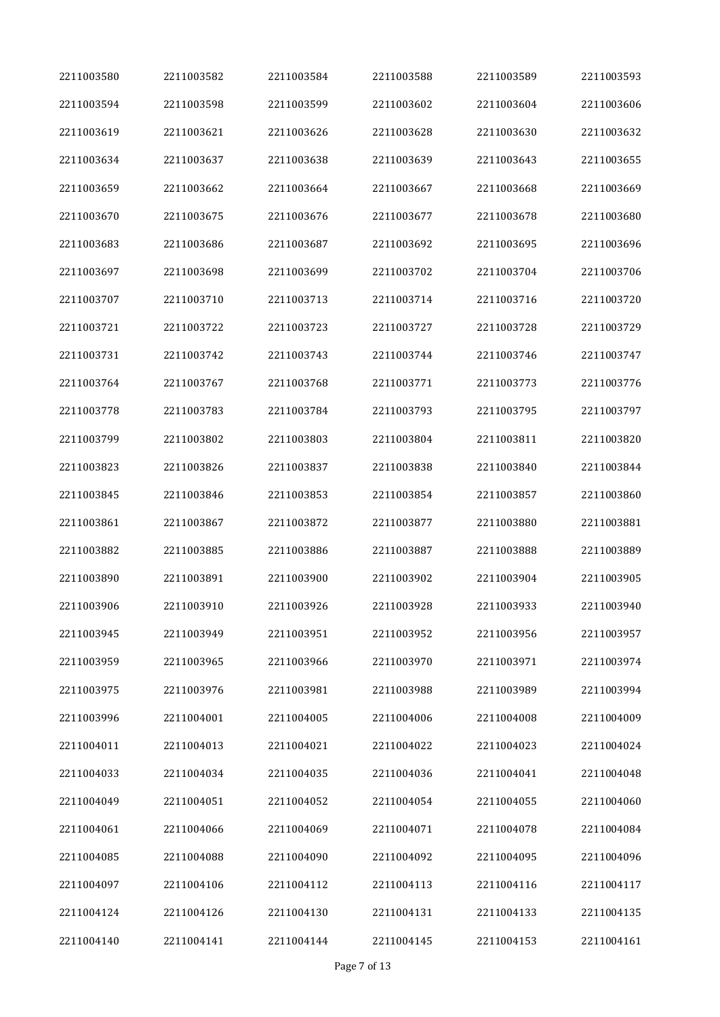| 2211003580 | 2211003582 | 2211003584 | 2211003588 | 2211003589 | 2211003593 |
|------------|------------|------------|------------|------------|------------|
| 2211003594 | 2211003598 | 2211003599 | 2211003602 | 2211003604 | 2211003606 |
| 2211003619 | 2211003621 | 2211003626 | 2211003628 | 2211003630 | 2211003632 |
| 2211003634 | 2211003637 | 2211003638 | 2211003639 | 2211003643 | 2211003655 |
| 2211003659 | 2211003662 | 2211003664 | 2211003667 | 2211003668 | 2211003669 |
| 2211003670 | 2211003675 | 2211003676 | 2211003677 | 2211003678 | 2211003680 |
| 2211003683 | 2211003686 | 2211003687 | 2211003692 | 2211003695 | 2211003696 |
| 2211003697 | 2211003698 | 2211003699 | 2211003702 | 2211003704 | 2211003706 |
| 2211003707 | 2211003710 | 2211003713 | 2211003714 | 2211003716 | 2211003720 |
| 2211003721 | 2211003722 | 2211003723 | 2211003727 | 2211003728 | 2211003729 |
| 2211003731 | 2211003742 | 2211003743 | 2211003744 | 2211003746 | 2211003747 |
| 2211003764 | 2211003767 | 2211003768 | 2211003771 | 2211003773 | 2211003776 |
| 2211003778 | 2211003783 | 2211003784 | 2211003793 | 2211003795 | 2211003797 |
| 2211003799 | 2211003802 | 2211003803 | 2211003804 | 2211003811 | 2211003820 |
| 2211003823 | 2211003826 | 2211003837 | 2211003838 | 2211003840 | 2211003844 |
| 2211003845 | 2211003846 | 2211003853 | 2211003854 | 2211003857 | 2211003860 |
| 2211003861 | 2211003867 | 2211003872 | 2211003877 | 2211003880 | 2211003881 |
| 2211003882 | 2211003885 | 2211003886 | 2211003887 | 2211003888 | 2211003889 |
| 2211003890 | 2211003891 | 2211003900 | 2211003902 | 2211003904 | 2211003905 |
| 2211003906 | 2211003910 | 2211003926 | 2211003928 | 2211003933 | 2211003940 |
| 2211003945 | 2211003949 | 2211003951 | 2211003952 | 2211003956 | 2211003957 |
| 2211003959 | 2211003965 | 2211003966 | 2211003970 | 2211003971 | 2211003974 |
| 2211003975 | 2211003976 | 2211003981 | 2211003988 | 2211003989 | 2211003994 |
| 2211003996 | 2211004001 | 2211004005 | 2211004006 | 2211004008 | 2211004009 |
| 2211004011 | 2211004013 | 2211004021 | 2211004022 | 2211004023 | 2211004024 |
| 2211004033 | 2211004034 | 2211004035 | 2211004036 | 2211004041 | 2211004048 |
| 2211004049 | 2211004051 | 2211004052 | 2211004054 | 2211004055 | 2211004060 |
| 2211004061 | 2211004066 | 2211004069 | 2211004071 | 2211004078 | 2211004084 |
| 2211004085 | 2211004088 | 2211004090 | 2211004092 | 2211004095 | 2211004096 |
| 2211004097 | 2211004106 | 2211004112 | 2211004113 | 2211004116 | 2211004117 |
| 2211004124 | 2211004126 | 2211004130 | 2211004131 | 2211004133 | 2211004135 |
| 2211004140 | 2211004141 | 2211004144 | 2211004145 | 2211004153 | 2211004161 |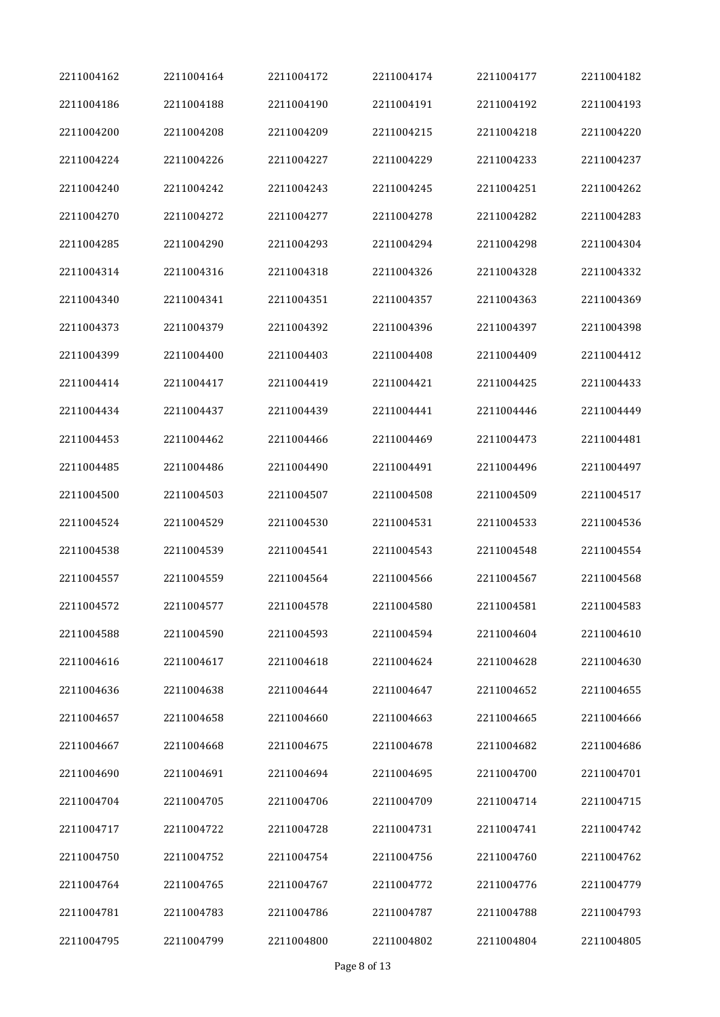| 2211004162 | 2211004164 | 2211004172 | 2211004174 | 2211004177 | 2211004182 |
|------------|------------|------------|------------|------------|------------|
| 2211004186 | 2211004188 | 2211004190 | 2211004191 | 2211004192 | 2211004193 |
| 2211004200 | 2211004208 | 2211004209 | 2211004215 | 2211004218 | 2211004220 |
| 2211004224 | 2211004226 | 2211004227 | 2211004229 | 2211004233 | 2211004237 |
| 2211004240 | 2211004242 | 2211004243 | 2211004245 | 2211004251 | 2211004262 |
| 2211004270 | 2211004272 | 2211004277 | 2211004278 | 2211004282 | 2211004283 |
| 2211004285 | 2211004290 | 2211004293 | 2211004294 | 2211004298 | 2211004304 |
| 2211004314 | 2211004316 | 2211004318 | 2211004326 | 2211004328 | 2211004332 |
| 2211004340 | 2211004341 | 2211004351 | 2211004357 | 2211004363 | 2211004369 |
| 2211004373 | 2211004379 | 2211004392 | 2211004396 | 2211004397 | 2211004398 |
| 2211004399 | 2211004400 | 2211004403 | 2211004408 | 2211004409 | 2211004412 |
| 2211004414 | 2211004417 | 2211004419 | 2211004421 | 2211004425 | 2211004433 |
| 2211004434 | 2211004437 | 2211004439 | 2211004441 | 2211004446 | 2211004449 |
| 2211004453 | 2211004462 | 2211004466 | 2211004469 | 2211004473 | 2211004481 |
| 2211004485 | 2211004486 | 2211004490 | 2211004491 | 2211004496 | 2211004497 |
| 2211004500 | 2211004503 | 2211004507 | 2211004508 | 2211004509 | 2211004517 |
| 2211004524 | 2211004529 | 2211004530 | 2211004531 | 2211004533 | 2211004536 |
| 2211004538 | 2211004539 | 2211004541 | 2211004543 | 2211004548 | 2211004554 |
| 2211004557 | 2211004559 | 2211004564 | 2211004566 | 2211004567 | 2211004568 |
| 2211004572 | 2211004577 | 2211004578 | 2211004580 | 2211004581 | 2211004583 |
| 2211004588 | 2211004590 | 2211004593 | 2211004594 | 2211004604 | 2211004610 |
| 2211004616 | 2211004617 | 2211004618 | 2211004624 | 2211004628 | 2211004630 |
| 2211004636 | 2211004638 | 2211004644 | 2211004647 | 2211004652 | 2211004655 |
| 2211004657 | 2211004658 | 2211004660 | 2211004663 | 2211004665 | 2211004666 |
| 2211004667 | 2211004668 | 2211004675 | 2211004678 | 2211004682 | 2211004686 |
| 2211004690 | 2211004691 | 2211004694 | 2211004695 | 2211004700 | 2211004701 |
| 2211004704 | 2211004705 | 2211004706 | 2211004709 | 2211004714 | 2211004715 |
| 2211004717 | 2211004722 | 2211004728 | 2211004731 | 2211004741 | 2211004742 |
| 2211004750 | 2211004752 | 2211004754 | 2211004756 | 2211004760 | 2211004762 |
| 2211004764 | 2211004765 | 2211004767 | 2211004772 | 2211004776 | 2211004779 |
| 2211004781 | 2211004783 | 2211004786 | 2211004787 | 2211004788 | 2211004793 |
| 2211004795 | 2211004799 | 2211004800 | 2211004802 | 2211004804 | 2211004805 |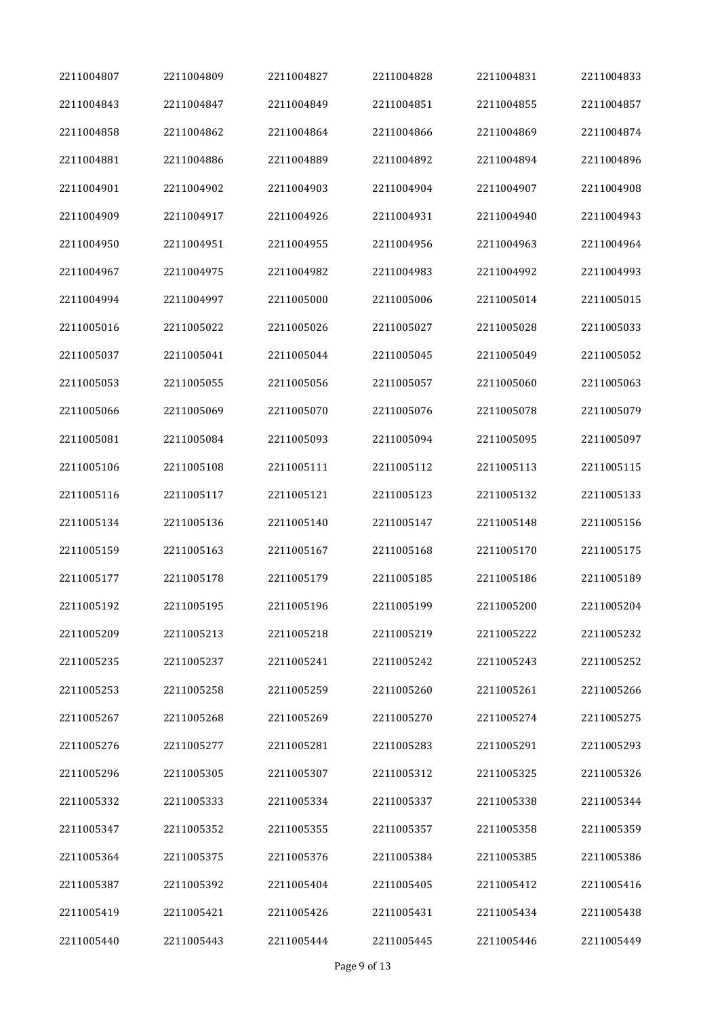| 2211004807 | 2211004809 | 2211004827 | 2211004828 | 2211004831 | 2211004833 |
|------------|------------|------------|------------|------------|------------|
| 2211004843 | 2211004847 | 2211004849 | 2211004851 | 2211004855 | 2211004857 |
| 2211004858 | 2211004862 | 2211004864 | 2211004866 | 2211004869 | 2211004874 |
| 2211004881 | 2211004886 | 2211004889 | 2211004892 | 2211004894 | 2211004896 |
| 2211004901 | 2211004902 | 2211004903 | 2211004904 | 2211004907 | 2211004908 |
| 2211004909 | 2211004917 | 2211004926 | 2211004931 | 2211004940 | 2211004943 |
| 2211004950 | 2211004951 | 2211004955 | 2211004956 | 2211004963 | 2211004964 |
| 2211004967 | 2211004975 | 2211004982 | 2211004983 | 2211004992 | 2211004993 |
| 2211004994 | 2211004997 | 2211005000 | 2211005006 | 2211005014 | 2211005015 |
| 2211005016 | 2211005022 | 2211005026 | 2211005027 | 2211005028 | 2211005033 |
| 2211005037 | 2211005041 | 2211005044 | 2211005045 | 2211005049 | 2211005052 |
| 2211005053 | 2211005055 | 2211005056 | 2211005057 | 2211005060 | 2211005063 |
| 2211005066 | 2211005069 | 2211005070 | 2211005076 | 2211005078 | 2211005079 |
| 2211005081 | 2211005084 | 2211005093 | 2211005094 | 2211005095 | 2211005097 |
| 2211005106 | 2211005108 | 2211005111 | 2211005112 | 2211005113 | 2211005115 |
| 2211005116 | 2211005117 | 2211005121 | 2211005123 | 2211005132 | 2211005133 |
| 2211005134 | 2211005136 | 2211005140 | 2211005147 | 2211005148 | 2211005156 |
| 2211005159 | 2211005163 | 2211005167 | 2211005168 | 2211005170 | 2211005175 |
| 2211005177 | 2211005178 | 2211005179 | 2211005185 | 2211005186 | 2211005189 |
| 2211005192 | 2211005195 | 2211005196 | 2211005199 | 2211005200 | 2211005204 |
| 2211005209 | 2211005213 | 2211005218 | 2211005219 | 2211005222 | 2211005232 |
| 2211005235 | 2211005237 | 2211005241 | 2211005242 | 2211005243 | 2211005252 |
| 2211005253 | 2211005258 | 2211005259 | 2211005260 | 2211005261 | 2211005266 |
| 2211005267 | 2211005268 | 2211005269 | 2211005270 | 2211005274 | 2211005275 |
| 2211005276 | 2211005277 | 2211005281 | 2211005283 | 2211005291 | 2211005293 |
| 2211005296 | 2211005305 | 2211005307 | 2211005312 | 2211005325 | 2211005326 |
| 2211005332 | 2211005333 | 2211005334 | 2211005337 | 2211005338 | 2211005344 |
| 2211005347 | 2211005352 | 2211005355 | 2211005357 | 2211005358 | 2211005359 |
| 2211005364 | 2211005375 | 2211005376 | 2211005384 | 2211005385 | 2211005386 |
| 2211005387 | 2211005392 | 2211005404 | 2211005405 | 2211005412 | 2211005416 |
| 2211005419 | 2211005421 | 2211005426 | 2211005431 | 2211005434 | 2211005438 |
| 2211005440 | 2211005443 | 2211005444 | 2211005445 | 2211005446 | 2211005449 |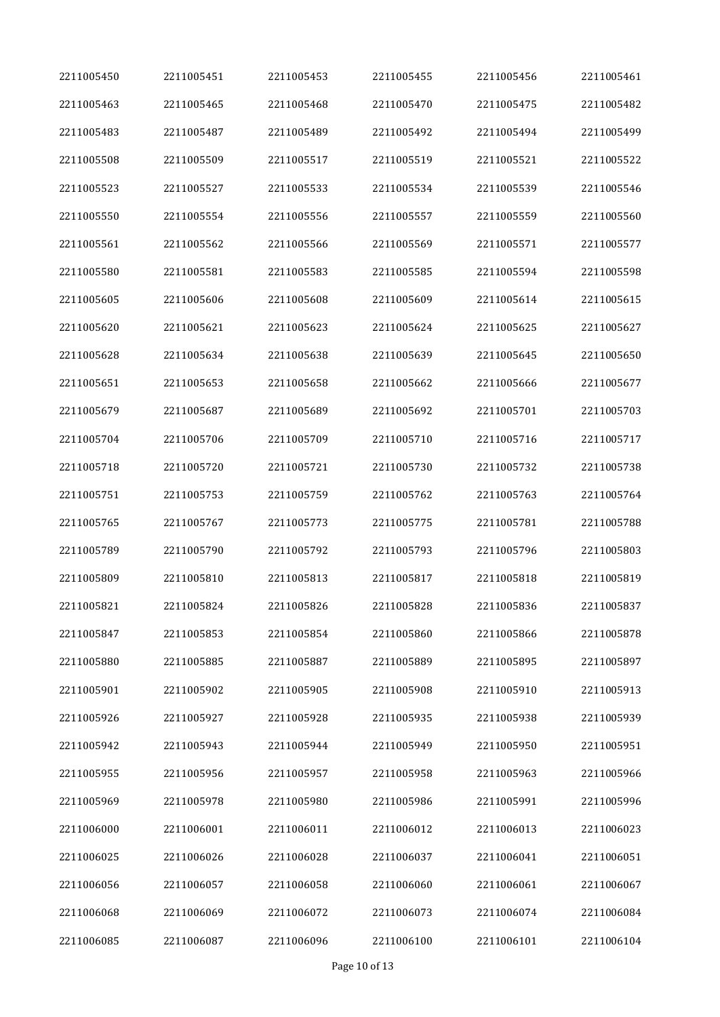| 2211005450 | 2211005451 | 2211005453 | 2211005455 | 2211005456 | 2211005461 |
|------------|------------|------------|------------|------------|------------|
| 2211005463 | 2211005465 | 2211005468 | 2211005470 | 2211005475 | 2211005482 |
| 2211005483 | 2211005487 | 2211005489 | 2211005492 | 2211005494 | 2211005499 |
| 2211005508 | 2211005509 | 2211005517 | 2211005519 | 2211005521 | 2211005522 |
| 2211005523 | 2211005527 | 2211005533 | 2211005534 | 2211005539 | 2211005546 |
| 2211005550 | 2211005554 | 2211005556 | 2211005557 | 2211005559 | 2211005560 |
| 2211005561 | 2211005562 | 2211005566 | 2211005569 | 2211005571 | 2211005577 |
| 2211005580 | 2211005581 | 2211005583 | 2211005585 | 2211005594 | 2211005598 |
| 2211005605 | 2211005606 | 2211005608 | 2211005609 | 2211005614 | 2211005615 |
| 2211005620 | 2211005621 | 2211005623 | 2211005624 | 2211005625 | 2211005627 |
| 2211005628 | 2211005634 | 2211005638 | 2211005639 | 2211005645 | 2211005650 |
| 2211005651 | 2211005653 | 2211005658 | 2211005662 | 2211005666 | 2211005677 |
| 2211005679 | 2211005687 | 2211005689 | 2211005692 | 2211005701 | 2211005703 |
| 2211005704 | 2211005706 | 2211005709 | 2211005710 | 2211005716 | 2211005717 |
| 2211005718 | 2211005720 | 2211005721 | 2211005730 | 2211005732 | 2211005738 |
| 2211005751 | 2211005753 | 2211005759 | 2211005762 | 2211005763 | 2211005764 |
| 2211005765 | 2211005767 | 2211005773 | 2211005775 | 2211005781 | 2211005788 |
| 2211005789 | 2211005790 | 2211005792 | 2211005793 | 2211005796 | 2211005803 |
| 2211005809 | 2211005810 | 2211005813 | 2211005817 | 2211005818 | 2211005819 |
| 2211005821 | 2211005824 | 2211005826 | 2211005828 | 2211005836 | 2211005837 |
| 2211005847 | 2211005853 | 2211005854 | 2211005860 | 2211005866 | 2211005878 |
| 2211005880 | 2211005885 | 2211005887 | 2211005889 | 2211005895 | 2211005897 |
| 2211005901 | 2211005902 | 2211005905 | 2211005908 | 2211005910 | 2211005913 |
| 2211005926 | 2211005927 | 2211005928 | 2211005935 | 2211005938 | 2211005939 |
| 2211005942 | 2211005943 | 2211005944 | 2211005949 | 2211005950 | 2211005951 |
| 2211005955 | 2211005956 | 2211005957 | 2211005958 | 2211005963 | 2211005966 |
| 2211005969 | 2211005978 | 2211005980 | 2211005986 | 2211005991 | 2211005996 |
| 2211006000 | 2211006001 | 2211006011 | 2211006012 | 2211006013 | 2211006023 |
| 2211006025 | 2211006026 | 2211006028 | 2211006037 | 2211006041 | 2211006051 |
| 2211006056 | 2211006057 | 2211006058 | 2211006060 | 2211006061 | 2211006067 |
| 2211006068 | 2211006069 | 2211006072 | 2211006073 | 2211006074 | 2211006084 |
| 2211006085 | 2211006087 | 2211006096 | 2211006100 | 2211006101 | 2211006104 |
|            |            |            |            |            |            |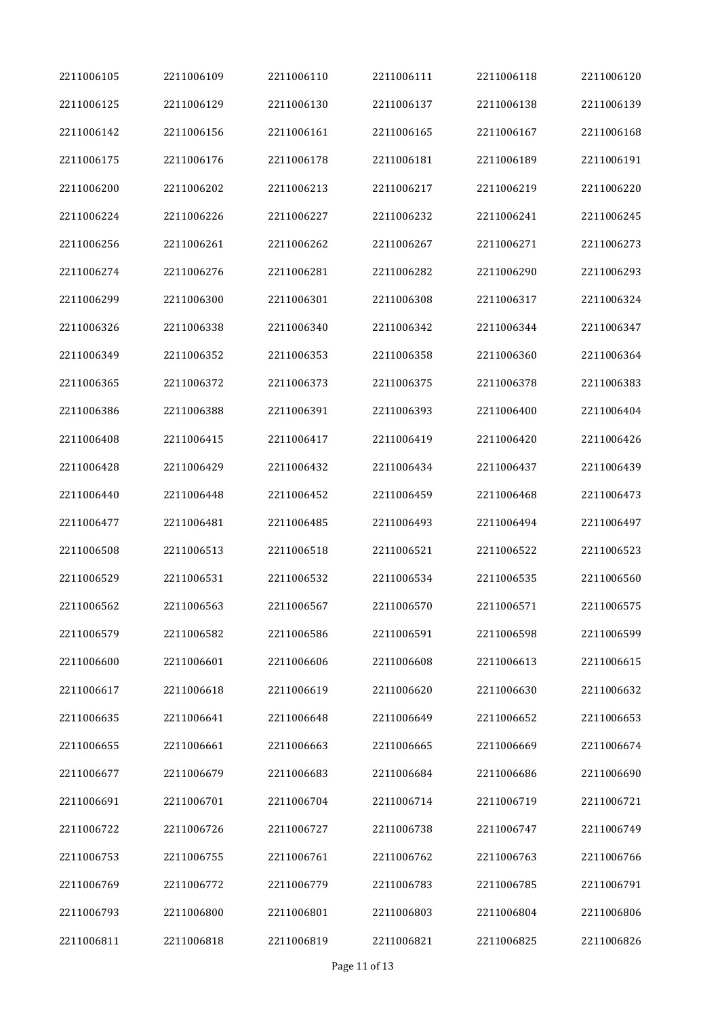| 2211006105 | 2211006109 | 2211006110 | 2211006111 | 2211006118 | 2211006120 |
|------------|------------|------------|------------|------------|------------|
| 2211006125 | 2211006129 | 2211006130 | 2211006137 | 2211006138 | 2211006139 |
| 2211006142 | 2211006156 | 2211006161 | 2211006165 | 2211006167 | 2211006168 |
| 2211006175 | 2211006176 | 2211006178 | 2211006181 | 2211006189 | 2211006191 |
| 2211006200 | 2211006202 | 2211006213 | 2211006217 | 2211006219 | 2211006220 |
| 2211006224 | 2211006226 | 2211006227 | 2211006232 | 2211006241 | 2211006245 |
| 2211006256 | 2211006261 | 2211006262 | 2211006267 | 2211006271 | 2211006273 |
| 2211006274 | 2211006276 | 2211006281 | 2211006282 | 2211006290 | 2211006293 |
| 2211006299 | 2211006300 | 2211006301 | 2211006308 | 2211006317 | 2211006324 |
| 2211006326 | 2211006338 | 2211006340 | 2211006342 | 2211006344 | 2211006347 |
| 2211006349 | 2211006352 | 2211006353 | 2211006358 | 2211006360 | 2211006364 |
| 2211006365 | 2211006372 | 2211006373 | 2211006375 | 2211006378 | 2211006383 |
| 2211006386 | 2211006388 | 2211006391 | 2211006393 | 2211006400 | 2211006404 |
| 2211006408 | 2211006415 | 2211006417 | 2211006419 | 2211006420 | 2211006426 |
| 2211006428 | 2211006429 | 2211006432 | 2211006434 | 2211006437 | 2211006439 |
| 2211006440 | 2211006448 | 2211006452 | 2211006459 | 2211006468 | 2211006473 |
| 2211006477 | 2211006481 | 2211006485 | 2211006493 | 2211006494 | 2211006497 |
| 2211006508 | 2211006513 | 2211006518 | 2211006521 | 2211006522 | 2211006523 |
| 2211006529 | 2211006531 | 2211006532 | 2211006534 | 2211006535 | 2211006560 |
| 2211006562 | 2211006563 | 2211006567 | 2211006570 | 2211006571 | 2211006575 |
| 2211006579 | 2211006582 | 2211006586 | 2211006591 | 2211006598 | 2211006599 |
| 2211006600 | 2211006601 | 2211006606 | 2211006608 | 2211006613 | 2211006615 |
| 2211006617 | 2211006618 | 2211006619 | 2211006620 | 2211006630 | 2211006632 |
| 2211006635 | 2211006641 | 2211006648 | 2211006649 | 2211006652 | 2211006653 |
| 2211006655 | 2211006661 | 2211006663 | 2211006665 | 2211006669 | 2211006674 |
| 2211006677 | 2211006679 | 2211006683 | 2211006684 | 2211006686 | 2211006690 |
| 2211006691 | 2211006701 | 2211006704 | 2211006714 | 2211006719 | 2211006721 |
| 2211006722 | 2211006726 | 2211006727 | 2211006738 | 2211006747 | 2211006749 |
| 2211006753 | 2211006755 | 2211006761 | 2211006762 | 2211006763 | 2211006766 |
| 2211006769 | 2211006772 | 2211006779 | 2211006783 | 2211006785 | 2211006791 |
| 2211006793 | 2211006800 | 2211006801 | 2211006803 | 2211006804 | 2211006806 |
| 2211006811 | 2211006818 | 2211006819 | 2211006821 | 2211006825 | 2211006826 |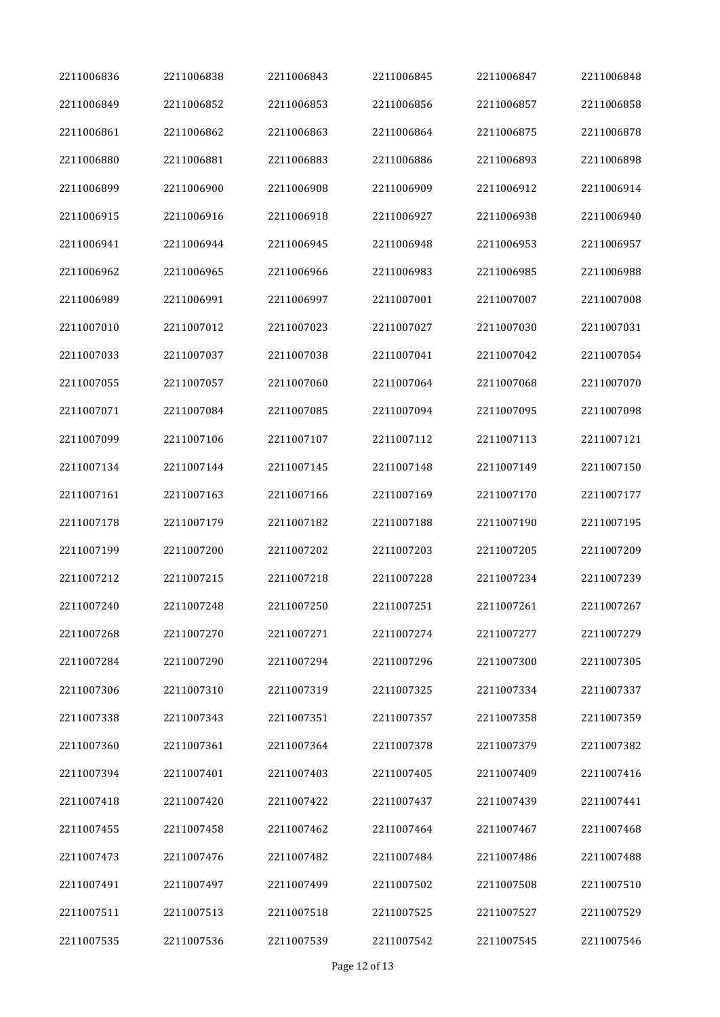| 2211006856<br>2211006849<br>2211006852<br>2211006853<br>2211006857<br>2211006861<br>2211006862<br>2211006863<br>2211006864<br>2211006875<br>2211006880<br>2211006881<br>2211006883<br>2211006886<br>2211006893<br>2211006900<br>2211006908<br>2211006909<br>2211006912<br>2211006899<br>2211006915<br>2211006916<br>2211006918<br>2211006927<br>2211006938<br>2211006941<br>2211006944<br>2211006945<br>2211006948<br>2211006953<br>2211006983<br>2211006985<br>2211006962<br>2211006965<br>2211006966<br>2211006989<br>2211006991<br>2211006997<br>2211007001<br>2211007007<br>2211007010<br>2211007012<br>2211007023<br>2211007027<br>2211007030<br>2211007038<br>2211007041<br>2211007033<br>2211007037<br>2211007042<br>2211007057<br>2211007060<br>2211007068<br>2211007055<br>2211007064<br>2211007094<br>2211007095<br>2211007071<br>2211007084<br>2211007085<br>2211007099<br>2211007106<br>2211007107<br>2211007112<br>2211007113<br>2211007134<br>2211007144<br>2211007145<br>2211007148<br>2211007149<br>2211007161<br>2211007163<br>2211007166<br>2211007169<br>2211007170<br>2211007188<br>2211007178<br>2211007179<br>2211007182<br>2211007190<br>2211007199<br>2211007200<br>2211007202<br>2211007203<br>2211007205<br>2211007212<br>2211007215<br>2211007218<br>2211007228<br>2211007234<br>2211007248<br>2211007251<br>2211007261<br>2211007240<br>2211007250<br>2211007268<br>2211007270<br>2211007271<br>2211007274<br>2211007277<br>2211007284<br>2211007290<br>2211007294<br>2211007296<br>2211007300<br>2211007306<br>2211007310<br>2211007319<br>2211007325<br>2211007334<br>2211007343<br>2211007351<br>2211007357<br>2211007358<br>2211007338<br>2211007364<br>2211007378<br>2211007360<br>2211007361<br>2211007379<br>2211007394<br>2211007401<br>2211007403<br>2211007405<br>2211007409<br>2211007418<br>2211007420<br>2211007422<br>2211007437<br>2211007439<br>2211007455<br>2211007458<br>2211007462<br>2211007464<br>2211007467<br>2211007473<br>2211007476<br>2211007482<br>2211007484<br>2211007486<br>2211007502<br>2211007491<br>2211007497<br>2211007499<br>2211007508<br>2211007511<br>2211007513<br>2211007518<br>2211007525<br>2211007527<br>2211007535<br>2211007536<br>2211007539<br>2211007542<br>2211007545 | 2211006836 | 2211006838 | 2211006843 | 2211006845 | 2211006847 | 2211006848 |
|--------------------------------------------------------------------------------------------------------------------------------------------------------------------------------------------------------------------------------------------------------------------------------------------------------------------------------------------------------------------------------------------------------------------------------------------------------------------------------------------------------------------------------------------------------------------------------------------------------------------------------------------------------------------------------------------------------------------------------------------------------------------------------------------------------------------------------------------------------------------------------------------------------------------------------------------------------------------------------------------------------------------------------------------------------------------------------------------------------------------------------------------------------------------------------------------------------------------------------------------------------------------------------------------------------------------------------------------------------------------------------------------------------------------------------------------------------------------------------------------------------------------------------------------------------------------------------------------------------------------------------------------------------------------------------------------------------------------------------------------------------------------------------------------------------------------------------------------------------------------------------------------------------------------------------------------------------------------------------------------------------------------------------------------------------------------------------------------------------------------------------------------------------------------------------------------------------------------------------------------------------|------------|------------|------------|------------|------------|------------|
|                                                                                                                                                                                                                                                                                                                                                                                                                                                                                                                                                                                                                                                                                                                                                                                                                                                                                                                                                                                                                                                                                                                                                                                                                                                                                                                                                                                                                                                                                                                                                                                                                                                                                                                                                                                                                                                                                                                                                                                                                                                                                                                                                                                                                                                        |            |            |            |            |            | 2211006858 |
|                                                                                                                                                                                                                                                                                                                                                                                                                                                                                                                                                                                                                                                                                                                                                                                                                                                                                                                                                                                                                                                                                                                                                                                                                                                                                                                                                                                                                                                                                                                                                                                                                                                                                                                                                                                                                                                                                                                                                                                                                                                                                                                                                                                                                                                        |            |            |            |            |            | 2211006878 |
|                                                                                                                                                                                                                                                                                                                                                                                                                                                                                                                                                                                                                                                                                                                                                                                                                                                                                                                                                                                                                                                                                                                                                                                                                                                                                                                                                                                                                                                                                                                                                                                                                                                                                                                                                                                                                                                                                                                                                                                                                                                                                                                                                                                                                                                        |            |            |            |            |            | 2211006898 |
|                                                                                                                                                                                                                                                                                                                                                                                                                                                                                                                                                                                                                                                                                                                                                                                                                                                                                                                                                                                                                                                                                                                                                                                                                                                                                                                                                                                                                                                                                                                                                                                                                                                                                                                                                                                                                                                                                                                                                                                                                                                                                                                                                                                                                                                        |            |            |            |            |            | 2211006914 |
|                                                                                                                                                                                                                                                                                                                                                                                                                                                                                                                                                                                                                                                                                                                                                                                                                                                                                                                                                                                                                                                                                                                                                                                                                                                                                                                                                                                                                                                                                                                                                                                                                                                                                                                                                                                                                                                                                                                                                                                                                                                                                                                                                                                                                                                        |            |            |            |            |            | 2211006940 |
|                                                                                                                                                                                                                                                                                                                                                                                                                                                                                                                                                                                                                                                                                                                                                                                                                                                                                                                                                                                                                                                                                                                                                                                                                                                                                                                                                                                                                                                                                                                                                                                                                                                                                                                                                                                                                                                                                                                                                                                                                                                                                                                                                                                                                                                        |            |            |            |            |            | 2211006957 |
|                                                                                                                                                                                                                                                                                                                                                                                                                                                                                                                                                                                                                                                                                                                                                                                                                                                                                                                                                                                                                                                                                                                                                                                                                                                                                                                                                                                                                                                                                                                                                                                                                                                                                                                                                                                                                                                                                                                                                                                                                                                                                                                                                                                                                                                        |            |            |            |            |            | 2211006988 |
|                                                                                                                                                                                                                                                                                                                                                                                                                                                                                                                                                                                                                                                                                                                                                                                                                                                                                                                                                                                                                                                                                                                                                                                                                                                                                                                                                                                                                                                                                                                                                                                                                                                                                                                                                                                                                                                                                                                                                                                                                                                                                                                                                                                                                                                        |            |            |            |            |            | 2211007008 |
|                                                                                                                                                                                                                                                                                                                                                                                                                                                                                                                                                                                                                                                                                                                                                                                                                                                                                                                                                                                                                                                                                                                                                                                                                                                                                                                                                                                                                                                                                                                                                                                                                                                                                                                                                                                                                                                                                                                                                                                                                                                                                                                                                                                                                                                        |            |            |            |            |            | 2211007031 |
|                                                                                                                                                                                                                                                                                                                                                                                                                                                                                                                                                                                                                                                                                                                                                                                                                                                                                                                                                                                                                                                                                                                                                                                                                                                                                                                                                                                                                                                                                                                                                                                                                                                                                                                                                                                                                                                                                                                                                                                                                                                                                                                                                                                                                                                        |            |            |            |            |            | 2211007054 |
|                                                                                                                                                                                                                                                                                                                                                                                                                                                                                                                                                                                                                                                                                                                                                                                                                                                                                                                                                                                                                                                                                                                                                                                                                                                                                                                                                                                                                                                                                                                                                                                                                                                                                                                                                                                                                                                                                                                                                                                                                                                                                                                                                                                                                                                        |            |            |            |            |            | 2211007070 |
|                                                                                                                                                                                                                                                                                                                                                                                                                                                                                                                                                                                                                                                                                                                                                                                                                                                                                                                                                                                                                                                                                                                                                                                                                                                                                                                                                                                                                                                                                                                                                                                                                                                                                                                                                                                                                                                                                                                                                                                                                                                                                                                                                                                                                                                        |            |            |            |            |            | 2211007098 |
|                                                                                                                                                                                                                                                                                                                                                                                                                                                                                                                                                                                                                                                                                                                                                                                                                                                                                                                                                                                                                                                                                                                                                                                                                                                                                                                                                                                                                                                                                                                                                                                                                                                                                                                                                                                                                                                                                                                                                                                                                                                                                                                                                                                                                                                        |            |            |            |            |            | 2211007121 |
|                                                                                                                                                                                                                                                                                                                                                                                                                                                                                                                                                                                                                                                                                                                                                                                                                                                                                                                                                                                                                                                                                                                                                                                                                                                                                                                                                                                                                                                                                                                                                                                                                                                                                                                                                                                                                                                                                                                                                                                                                                                                                                                                                                                                                                                        |            |            |            |            |            | 2211007150 |
|                                                                                                                                                                                                                                                                                                                                                                                                                                                                                                                                                                                                                                                                                                                                                                                                                                                                                                                                                                                                                                                                                                                                                                                                                                                                                                                                                                                                                                                                                                                                                                                                                                                                                                                                                                                                                                                                                                                                                                                                                                                                                                                                                                                                                                                        |            |            |            |            |            | 2211007177 |
|                                                                                                                                                                                                                                                                                                                                                                                                                                                                                                                                                                                                                                                                                                                                                                                                                                                                                                                                                                                                                                                                                                                                                                                                                                                                                                                                                                                                                                                                                                                                                                                                                                                                                                                                                                                                                                                                                                                                                                                                                                                                                                                                                                                                                                                        |            |            |            |            |            | 2211007195 |
|                                                                                                                                                                                                                                                                                                                                                                                                                                                                                                                                                                                                                                                                                                                                                                                                                                                                                                                                                                                                                                                                                                                                                                                                                                                                                                                                                                                                                                                                                                                                                                                                                                                                                                                                                                                                                                                                                                                                                                                                                                                                                                                                                                                                                                                        |            |            |            |            |            | 2211007209 |
|                                                                                                                                                                                                                                                                                                                                                                                                                                                                                                                                                                                                                                                                                                                                                                                                                                                                                                                                                                                                                                                                                                                                                                                                                                                                                                                                                                                                                                                                                                                                                                                                                                                                                                                                                                                                                                                                                                                                                                                                                                                                                                                                                                                                                                                        |            |            |            |            |            | 2211007239 |
|                                                                                                                                                                                                                                                                                                                                                                                                                                                                                                                                                                                                                                                                                                                                                                                                                                                                                                                                                                                                                                                                                                                                                                                                                                                                                                                                                                                                                                                                                                                                                                                                                                                                                                                                                                                                                                                                                                                                                                                                                                                                                                                                                                                                                                                        |            |            |            |            |            | 2211007267 |
|                                                                                                                                                                                                                                                                                                                                                                                                                                                                                                                                                                                                                                                                                                                                                                                                                                                                                                                                                                                                                                                                                                                                                                                                                                                                                                                                                                                                                                                                                                                                                                                                                                                                                                                                                                                                                                                                                                                                                                                                                                                                                                                                                                                                                                                        |            |            |            |            |            | 2211007279 |
|                                                                                                                                                                                                                                                                                                                                                                                                                                                                                                                                                                                                                                                                                                                                                                                                                                                                                                                                                                                                                                                                                                                                                                                                                                                                                                                                                                                                                                                                                                                                                                                                                                                                                                                                                                                                                                                                                                                                                                                                                                                                                                                                                                                                                                                        |            |            |            |            |            | 2211007305 |
|                                                                                                                                                                                                                                                                                                                                                                                                                                                                                                                                                                                                                                                                                                                                                                                                                                                                                                                                                                                                                                                                                                                                                                                                                                                                                                                                                                                                                                                                                                                                                                                                                                                                                                                                                                                                                                                                                                                                                                                                                                                                                                                                                                                                                                                        |            |            |            |            |            | 2211007337 |
|                                                                                                                                                                                                                                                                                                                                                                                                                                                                                                                                                                                                                                                                                                                                                                                                                                                                                                                                                                                                                                                                                                                                                                                                                                                                                                                                                                                                                                                                                                                                                                                                                                                                                                                                                                                                                                                                                                                                                                                                                                                                                                                                                                                                                                                        |            |            |            |            |            | 2211007359 |
|                                                                                                                                                                                                                                                                                                                                                                                                                                                                                                                                                                                                                                                                                                                                                                                                                                                                                                                                                                                                                                                                                                                                                                                                                                                                                                                                                                                                                                                                                                                                                                                                                                                                                                                                                                                                                                                                                                                                                                                                                                                                                                                                                                                                                                                        |            |            |            |            |            | 2211007382 |
|                                                                                                                                                                                                                                                                                                                                                                                                                                                                                                                                                                                                                                                                                                                                                                                                                                                                                                                                                                                                                                                                                                                                                                                                                                                                                                                                                                                                                                                                                                                                                                                                                                                                                                                                                                                                                                                                                                                                                                                                                                                                                                                                                                                                                                                        |            |            |            |            |            | 2211007416 |
|                                                                                                                                                                                                                                                                                                                                                                                                                                                                                                                                                                                                                                                                                                                                                                                                                                                                                                                                                                                                                                                                                                                                                                                                                                                                                                                                                                                                                                                                                                                                                                                                                                                                                                                                                                                                                                                                                                                                                                                                                                                                                                                                                                                                                                                        |            |            |            |            |            | 2211007441 |
|                                                                                                                                                                                                                                                                                                                                                                                                                                                                                                                                                                                                                                                                                                                                                                                                                                                                                                                                                                                                                                                                                                                                                                                                                                                                                                                                                                                                                                                                                                                                                                                                                                                                                                                                                                                                                                                                                                                                                                                                                                                                                                                                                                                                                                                        |            |            |            |            |            | 2211007468 |
|                                                                                                                                                                                                                                                                                                                                                                                                                                                                                                                                                                                                                                                                                                                                                                                                                                                                                                                                                                                                                                                                                                                                                                                                                                                                                                                                                                                                                                                                                                                                                                                                                                                                                                                                                                                                                                                                                                                                                                                                                                                                                                                                                                                                                                                        |            |            |            |            |            | 2211007488 |
|                                                                                                                                                                                                                                                                                                                                                                                                                                                                                                                                                                                                                                                                                                                                                                                                                                                                                                                                                                                                                                                                                                                                                                                                                                                                                                                                                                                                                                                                                                                                                                                                                                                                                                                                                                                                                                                                                                                                                                                                                                                                                                                                                                                                                                                        |            |            |            |            |            | 2211007510 |
|                                                                                                                                                                                                                                                                                                                                                                                                                                                                                                                                                                                                                                                                                                                                                                                                                                                                                                                                                                                                                                                                                                                                                                                                                                                                                                                                                                                                                                                                                                                                                                                                                                                                                                                                                                                                                                                                                                                                                                                                                                                                                                                                                                                                                                                        |            |            |            |            |            | 2211007529 |
|                                                                                                                                                                                                                                                                                                                                                                                                                                                                                                                                                                                                                                                                                                                                                                                                                                                                                                                                                                                                                                                                                                                                                                                                                                                                                                                                                                                                                                                                                                                                                                                                                                                                                                                                                                                                                                                                                                                                                                                                                                                                                                                                                                                                                                                        |            |            |            |            |            | 2211007546 |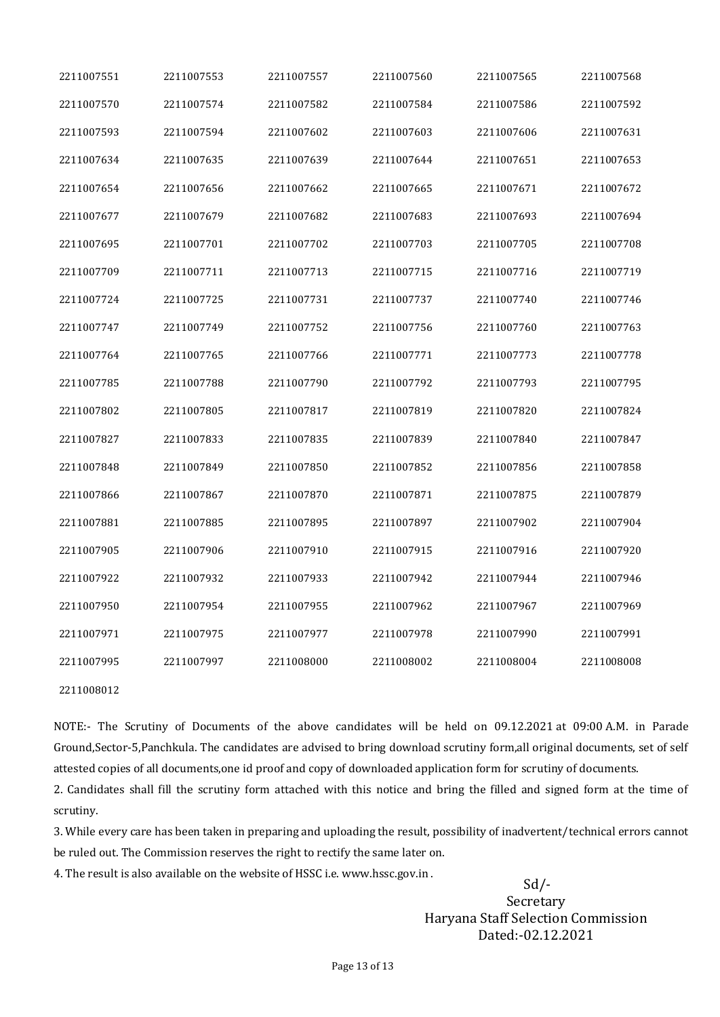| 2211007551 | 2211007553 | 2211007557 | 2211007560 | 2211007565 | 2211007568 |
|------------|------------|------------|------------|------------|------------|
| 2211007570 | 2211007574 | 2211007582 | 2211007584 | 2211007586 | 2211007592 |
| 2211007593 | 2211007594 | 2211007602 | 2211007603 | 2211007606 | 2211007631 |
| 2211007634 | 2211007635 | 2211007639 | 2211007644 | 2211007651 | 2211007653 |
| 2211007654 | 2211007656 | 2211007662 | 2211007665 | 2211007671 | 2211007672 |
| 2211007677 | 2211007679 | 2211007682 | 2211007683 | 2211007693 | 2211007694 |
| 2211007695 | 2211007701 | 2211007702 | 2211007703 | 2211007705 | 2211007708 |
| 2211007709 | 2211007711 | 2211007713 | 2211007715 | 2211007716 | 2211007719 |
| 2211007724 | 2211007725 | 2211007731 | 2211007737 | 2211007740 | 2211007746 |
| 2211007747 | 2211007749 | 2211007752 | 2211007756 | 2211007760 | 2211007763 |
| 2211007764 | 2211007765 | 2211007766 | 2211007771 | 2211007773 | 2211007778 |
| 2211007785 | 2211007788 | 2211007790 | 2211007792 | 2211007793 | 2211007795 |
| 2211007802 | 2211007805 | 2211007817 | 2211007819 | 2211007820 | 2211007824 |
| 2211007827 | 2211007833 | 2211007835 | 2211007839 | 2211007840 | 2211007847 |
| 2211007848 | 2211007849 | 2211007850 | 2211007852 | 2211007856 | 2211007858 |
| 2211007866 | 2211007867 | 2211007870 | 2211007871 | 2211007875 | 2211007879 |
| 2211007881 | 2211007885 | 2211007895 | 2211007897 | 2211007902 | 2211007904 |
| 2211007905 | 2211007906 | 2211007910 | 2211007915 | 2211007916 | 2211007920 |
| 2211007922 | 2211007932 | 2211007933 | 2211007942 | 2211007944 | 2211007946 |
| 2211007950 | 2211007954 | 2211007955 | 2211007962 | 2211007967 | 2211007969 |
| 2211007971 | 2211007975 | 2211007977 | 2211007978 | 2211007990 | 2211007991 |
| 2211007995 | 2211007997 | 2211008000 | 2211008002 | 2211008004 | 2211008008 |
| 2211008012 |            |            |            |            |            |

NOTE:- The Scrutiny of Documents of the above candidates will be held on 09.12.2021 at 09:00 A.M. in Parade Ground,Sector-5,Panchkula. The candidates are advised to bring download scrutiny form,all original documents, set of self attested copies of all documents,one id proof and copy of downloaded application form for scrutiny of documents.

2. Candidates shall fill the scrutiny form attached with this notice and bring the filled and signed form at the time of scrutiny.

3. While every care has been taken in preparing and uploading the result, possibility of inadvertent/technical errors cannot be ruled out. The Commission reserves the right to rectify the same later on.

4. The result is also available on the website of HSSC i.e. www.hssc.gov.in .

 Sd/- Secretary Haryana Staff Selection Commission Dated:-02.12.2021